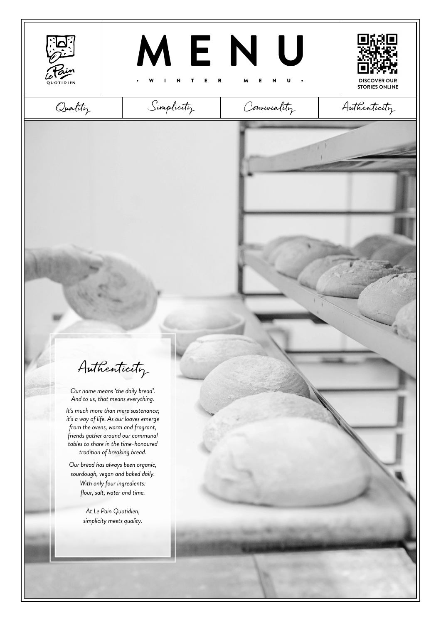





**STORIES ONLINE**



Authenticity

*Our name means 'the daily bread'. And to us, that means everything.* 

*It's much more than mere sustenance; it's a way of life. As our loaves emerge from the ovens, warm and fragrant, friends gather around our communal tables to share in the time-honoured tradition of breaking bread.*

*Our bread has always been organic, sourdough, vegan and baked daily. With only four ingredients: flour, salt, water and time.*

> *At Le Pain Quotidien, simplicity meets quality.*

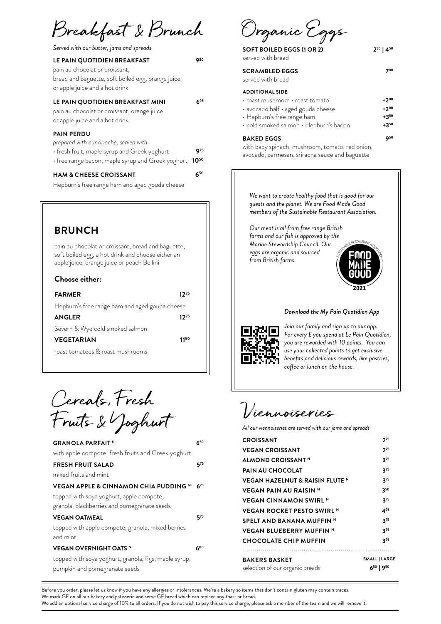Breakfast & Brunch Organic Eggs

*Served with our butter, jams and spreads*

| LE PAIN QUOTIDIEN BREAKFAST<br>pain au chocolat or croissant,<br>bread and baguette, soft boiled egg, orange juice<br>or apple juice and a hot drink                  | Q50         |
|-----------------------------------------------------------------------------------------------------------------------------------------------------------------------|-------------|
| LE PAIN QUOTIDIEN BREAKFAST MINI<br>pain au chocolat or croissant, orange juice<br>or apple juice and a hot drink                                                     | 695         |
| <b>PAIN PERDU</b><br>prepared with our brioche, served with<br>• fresh fruit, maple syrup and Greek yoghurt<br>• free range bacon, maple syrup and Greek yoghurt 1050 | <b>g</b> 75 |
|                                                                                                                                                                       |             |

## **HAM & CHEESE CROISSANT 650**

Hepburn's free range ham and aged gouda cheese

## **BRUNCH**

pain au chocolat or croissant, bread and baguette, soft boiled egg, a hot drink and choose either an apple juice, orange juice or peach Bellini

## **Choose either:**

| <b>FARMER</b>                                  | 1225 |
|------------------------------------------------|------|
| Hepburn's free range ham and aged gouda cheese |      |
| <b>ANGLER</b>                                  | 1275 |
| Severn & Wye cold smoked salmon                |      |
| <b>VEGETARIAN</b>                              | 1150 |
| roast tomatoes & roast mushrooms               |      |

Cereals, Fresh Fruits & Yoghurt

| <b>GRANOLA PARFAIT</b> <sup>N</sup>                   | 650 |
|-------------------------------------------------------|-----|
| with apple compote, fresh fruits and Greek yoghurt    |     |
| <b>FRESH FRUIT SALAD</b>                              | 575 |
| mixed fruits and mint                                 |     |
| VEGAN APPLE & CINNAMON CHIA PUDDING GF 625            |     |
| topped with soya yoghurt, apple compote,              |     |
| granola, blackberries and pomegranate seeds           |     |
| <b>VEGAN OATMEAL</b>                                  | 575 |
| topped with apple compote, granola, mixed berries     |     |
| and mint                                              |     |
| <b>VEGAN OVERNIGHT OATS N</b>                         | 600 |
| topped with soya yoghurt, granola, figs, maple syrup, |     |
| pumpkin and pomegranate seeds                         |     |

| <b>SOFT BOILED EGGS (1 OR 2)</b><br>served with bread | 250   450 |
|-------------------------------------------------------|-----------|
| <b>SCRAMBLED EGGS</b><br>served with bread            | 700       |
| <b>ADDITIONAL SIDE</b>                                |           |
| · roast mushroom · roast tomato                       | $+2^{00}$ |
| · avocado half · aged gouda cheese                    | $+200$    |
| • Hepburn's free range ham                            | $+350$    |
| $\cdot$ cold smoked salmon $\cdot$ Hepburn's bacon    | $+350$    |
| <b>BAKED EGGS</b>                                     | 950       |
| with baby spinach, mushroom, tomato, red onion,       |           |
| avocado, parmesan, sriracha sauce and baguette        |           |

*We want to create healthy food that is good for our guests and the planet. We are Food Made Good members of the Sustainable Restaurant Association.* 

*Our meat is all from free range British farms and our fish is approved by the Marine Stewardship Council. Our eggs are organic and sourced from British farms.*



## *Download the My Pain Quotidien App*



*Join our family and sign up to our app. For every £ you spend at Le Pain Quotidien, you are rewarded with 10 points. You can use your collected points to get exclusive benefits and delicious rewards, like pastries, coffee or lunch on the house.*

Viennoiseries

*All our viennoiseries are served with our jams and spreads*

| <b>BAKERS BASKET</b><br>selection of our organic breads | SMALL   LARGE<br>$6^{50}$   9 <sup>50</sup> |
|---------------------------------------------------------|---------------------------------------------|
|                                                         |                                             |
| <b>CHOCOLATE CHIP MUFFIN</b>                            | 395                                         |
| <b>VEGAN BLUEBERRY MUFFIN N</b>                         | 395                                         |
| SPELT AND BANANA MUFFIN N                               | $3^{75}$                                    |
| <b>VEGAN ROCKET PESTO SWIRL N</b>                       | 495                                         |
| <b>VEGAN CINNAMON SWIRL N</b>                           | 375                                         |
| <b>VEGAN PAIN AU RAISIN N</b>                           | 350                                         |
| <b>VEGAN HAZELNUT &amp; RAISIN FLUTE N</b>              | 375                                         |
| <b>PAIN AU CHOCOLAT</b>                                 | $3^{25}$                                    |
| ALMOND CROISSANT <sup>N</sup>                           | $3^{75}$                                    |
| <b>VEGAN CROISSANT</b>                                  | $2^{75}$                                    |
| <b>CROISSANT</b>                                        | 275                                         |
|                                                         |                                             |

Before you order, please let us know if you have any allergies or intolerances. We're a bakery so items that don't contain gluten may contain traces. We mark GF on all our bakery and patisserie and serve GF bread which can replace any toast or bread. We add an optional service charge of 10% to all orders. If you do not wish to pay this service charge, please ask a member of the team and we will remove it.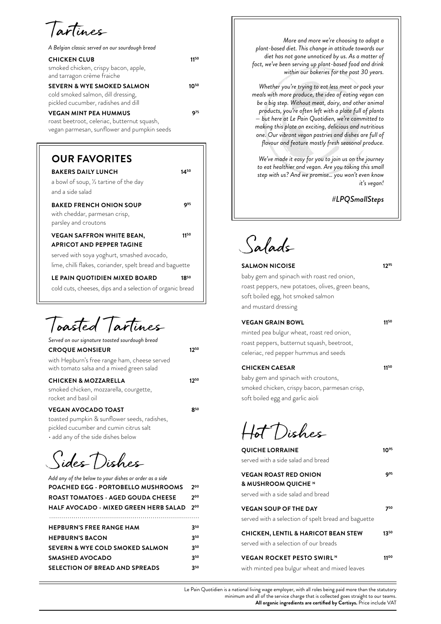Tartines

| A Belgian classic served on our sourdough bread                                                                            |      |
|----------------------------------------------------------------------------------------------------------------------------|------|
| <b>CHICKEN CLUB</b><br>smoked chicken, crispy bacon, apple,<br>and tarragon crème fraiche                                  | 1150 |
| <b>SEVERN &amp; WYE SMOKED SALMON</b><br>cold smoked salmon, dill dressing,<br>pickled cucumber, radishes and dill         | 1050 |
| <b>VEGAN MINT PEA HUMMUS</b><br>roast beetroot, celeriac, butternut squash,<br>vegan parmesan, sunflower and pumpkin seeds | Q75  |

| <b>OUR FAVORITES</b>                                                                    |             |
|-----------------------------------------------------------------------------------------|-------------|
| <b>BAKERS DAILY LUNCH</b>                                                               | 1450        |
| a bowl of soup, 1/2 tartine of the day                                                  |             |
| and a side salad                                                                        |             |
| <b>BAKED FRENCH ONION SOUP</b><br>with cheddar, parmesan crisp,<br>parsley and croutons | <b>9</b> 95 |
| <b>VEGAN SAFFRON WHITE BEAN,</b>                                                        | 1150        |
| <b>APRICOT AND PEPPER TAGINE</b>                                                        |             |
| served with soya yoghurt, smashed avocado,                                              |             |
| lime, chilli flakes, coriander, spelt bread and baguette                                |             |
| LE PAIN QUOTIDIEN MIXED BOARD                                                           | 1850        |

cold cuts, cheeses, dips and a selection of organic bread

Toasted Tartines

| Served on our signature toasted sourdough bread                                                                                                            |              |
|------------------------------------------------------------------------------------------------------------------------------------------------------------|--------------|
| <b>CROQUE MONSIEUR</b>                                                                                                                                     | 1250         |
| with Hepburn's free range ham, cheese served<br>with tomato salsa and a mixed green salad                                                                  |              |
| <b>CHICKEN &amp; MOZZARELLA</b><br>smoked chicken, mozzarella, courgette,<br>rocket and basil oil                                                          | 1750         |
| <b>VEGAN AVOCADO TOAST</b><br>toasted pumpkin & sunflower seeds, radishes,<br>pickled cucumber and cumin citrus salt<br>• add any of the side dishes below | <b>82</b> 50 |

Sides Dishes

| Add any of the below to your dishes or order as a side |     |
|--------------------------------------------------------|-----|
| <b>POACHED EGG · PORTOBELLO MUSHROOMS</b>              | 200 |
| <b>ROAST TOMATOES - AGED GOUDA CHEESE</b>              | 200 |
| <b>HALF AVOCADO • MIXED GREEN HERB SALAD</b>           | 200 |
|                                                        |     |
| <b>HEPBURN'S FREE RANGE HAM</b>                        | 350 |
| <b>HEPBURN'S BACON</b>                                 | 350 |
| SEVERN & WYE COLD SMOKED SALMON                        | 350 |
| SMASHED AVOCADO                                        | 350 |
| <b>SELECTION OF BREAD AND SPREADS</b>                  | 350 |
|                                                        |     |

*More and more we're choosing to adopt a plant-based diet. This change in attitude towards our diet has not gone unnoticed by us. As a matter of fact, we've been serving up plant-based food and drink within our bakeries for the past 30 years.* 

*Whether you're trying to eat less meat or pack your meals with more produce, the idea of eating vegan can be a big step. Without meat, dairy, and other animal products, you're often left with a plate full of plants — but here at Le Pain Quotidien, we're committed to making this plate an exciting, delicious and nutritious one. Our vibrant vegan pastries and dishes are full of flavour and feature mostly fresh seasonal produce.*

*We've made it easy for you to join us on the journey to eat healthier and vegan. Are you taking this small step with us? And we promise… you won't even know it's vegan!*

*#LPQSmallSteps*

Salads

**SALMON NICOISE 1295** baby gem and spinach with roast red onion, roast peppers, new potatoes, olives, green beans, soft boiled egg, hot smoked salmon and mustard dressing **VEGAN GRAIN BOWL 1150** minted pea bulgur wheat, roast red onion,

roast peppers, butternut squash, beetroot, celeriac, red pepper hummus and seeds

| <b>CHICKEN CAESAR</b> | 1150 |
|-----------------------|------|
|                       |      |

baby gem and spinach with croutons, smoked chicken, crispy bacon, parmesan crisp, soft boiled egg and garlic aioli

Hot Dishes

| <b>QUICHE LORRAINE</b><br>served with a side salad and bread                              | ገ%          |
|-------------------------------------------------------------------------------------------|-------------|
| <b>VEGAN ROAST RED ONION</b><br>& MUSHROOM QUICHE N<br>served with a side salad and bread | <b>9</b> 95 |
| <b>VEGAN SOUP OF THE DAY</b><br>served with a selection of spelt bread and baguette       | 750         |
| <b>CHICKEN, LENTIL &amp; HARICOT BEAN STEW</b><br>served with a selection of our breads   | 1350        |
| <b>VEGAN ROCKET PESTO SWIRLN</b><br>with minted pea bulgur wheat and mixed leaves         | 1100        |

Le Pain Quotidien is a national living wage employer, with all roles being paid more than the statutory minimum and all of the service charge that is collected goes straight to our teams.

**All organic ingredients are certified by Certisys.** Price include VAT